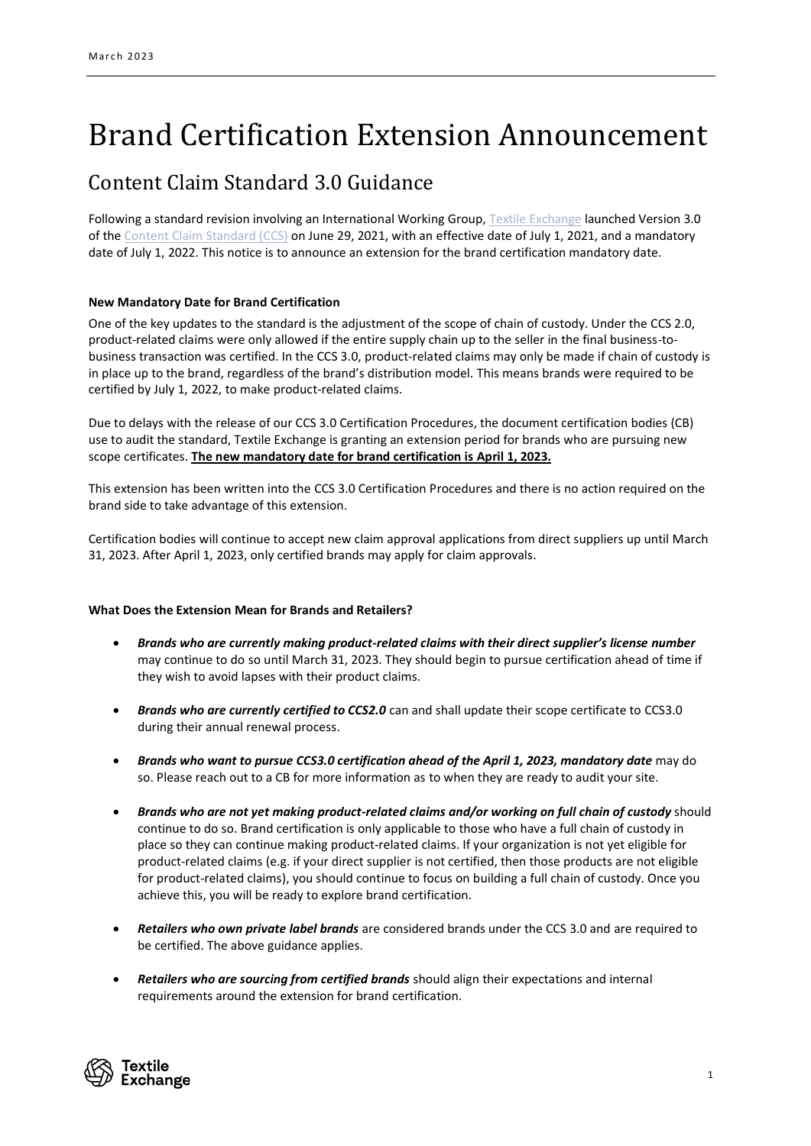# Brand Certification Extension Announcement

## Content Claim Standard 3.0 Guidance

Following a standard revision involving an International Working Group, [Textile Exchange](https://textileexchange.org/) launched Version 3.0 of the [Content Claim Standard \(CCS\)](https://textileexchange.org/documents/content-claim-standard-ccs/) on June 29, 2021, with an effective date of July 1, 2021, and a mandatory date of July 1, 2022. This notice is to announce an extension for the brand certification mandatory date.

### **New Mandatory Date for Brand Certification**

One of the key updates to the standard is the adjustment of the scope of chain of custody. Under the CCS 2.0, product-related claims were only allowed if the entire supply chain up to the seller in the final business-tobusiness transaction was certified. In the CCS 3.0, product-related claims may only be made if chain of custody is in place up to the brand, regardless of the brand's distribution model. This means brands were required to be certified by July 1, 2022, to make product-related claims.

Due to delays with the release of our CCS 3.0 Certification Procedures, the document certification bodies (CB) use to audit the standard, Textile Exchange is granting an extension period for brands who are pursuing new scope certificates. **The new mandatory date for brand certification is April 1, 2023.**

This extension has been written into the CCS 3.0 Certification Procedures and there is no action required on the brand side to take advantage of this extension.

Certification bodies will continue to accept new claim approval applications from direct suppliers up until March 31, 2023. After April 1, 2023, only certified brands may apply for claim approvals.

#### **What Does the Extension Mean for Brands and Retailers?**

- *Brands who are currently making product-related claims with their direct supplier's license number* may continue to do so until March 31, 2023. They should begin to pursue certification ahead of time if they wish to avoid lapses with their product claims.
- *Brands who are currently certified to CCS2.0* can and shall update their scope certificate to CCS3.0 during their annual renewal process.
- *Brands who want to pursue CCS3.0 certification ahead of the April 1, 2023, mandatory date* may do so. Please reach out to a CB for more information as to when they are ready to audit your site.
- *Brands who are not yet making product-related claims and/or working on full chain of custody* should continue to do so. Brand certification is only applicable to those who have a full chain of custody in place so they can continue making product-related claims. If your organization is not yet eligible for product-related claims (e.g. if your direct supplier is not certified, then those products are not eligible for product-related claims), you should continue to focus on building a full chain of custody. Once you achieve this, you will be ready to explore brand certification.
- *Retailers who own private label brands* are considered brands under the CCS 3.0 and are required to be certified. The above guidance applies.
- *Retailers who are sourcing from certified brands* should align their expectations and internal requirements around the extension for brand certification.